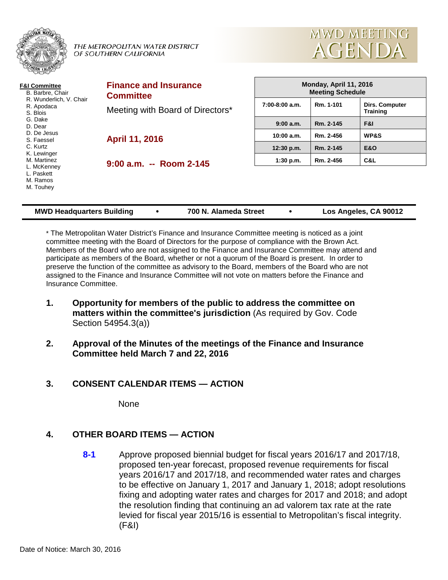

THE METROPOLITAN WATER DISTRICT OF SOUTHERN CALIFORNIA



| F&I Committee<br>B. Barbre, Chair<br>R. Wunderlich, V. Chair<br>R. Apodaca<br>S. Blois                                    | <b>Finance and Insurance</b><br><b>Committee</b> | Monday, April 11, 2016<br><b>Meeting Schedule</b> |           |                                   |
|---------------------------------------------------------------------------------------------------------------------------|--------------------------------------------------|---------------------------------------------------|-----------|-----------------------------------|
|                                                                                                                           | Meeting with Board of Directors*                 | $7:00-8:00$ a.m.                                  | Rm. 1-101 | Dirs. Computer<br><b>Training</b> |
| G. Dake<br>D. Dear                                                                                                        |                                                  | 9:00 a.m.                                         | Rm. 2-145 | F&I                               |
| D. De Jesus<br>S. Faessel<br>C. Kurtz<br>K. Lewinger<br>M. Martinez<br>L. McKenney<br>L. Paskett<br>M. Ramos<br>M. Touhey | April 11, 2016<br>$9:00$ a.m. $-$ Room 2-145     | 10:00 a.m.                                        | Rm. 2-456 | WP&S                              |
|                                                                                                                           |                                                  | 12:30 p.m.                                        | Rm. 2-145 | <b>E&amp;O</b>                    |
|                                                                                                                           |                                                  | $1:30$ p.m.                                       | Rm. 2-456 | C&L                               |
|                                                                                                                           |                                                  |                                                   |           |                                   |

| <b>MWD Headquarters Building</b> |  | 700 N. Alameda Street |  | Los Angeles, CA 90012 |
|----------------------------------|--|-----------------------|--|-----------------------|
|----------------------------------|--|-----------------------|--|-----------------------|

\* The Metropolitan Water District's Finance and Insurance Committee meeting is noticed as a joint committee meeting with the Board of Directors for the purpose of compliance with the Brown Act. Members of the Board who are not assigned to the Finance and Insurance Committee may attend and participate as members of the Board, whether or not a quorum of the Board is present. In order to preserve the function of the committee as advisory to the Board, members of the Board who are not assigned to the Finance and Insurance Committee will not vote on matters before the Finance and Insurance Committee.

- **1. Opportunity for members of the public to address the committee on matters within the committee's jurisdiction** (As required by Gov. Code Section 54954.3(a))
- **2. Approval of the Minutes of the meetings of the Finance and Insurance Committee held March 7 and 22, 2016**

# **3. CONSENT CALENDAR ITEMS — ACTION**

**None** 

# **4. OTHER BOARD ITEMS — ACTION**

**8-1** Approve proposed biennial budget for fiscal years 2016/17 and 2017/18, proposed ten-year forecast, proposed revenue requirements for fiscal years 2016/17 and 2017/18, and recommended water rates and charges to be effective on January 1, 2017 and January 1, 2018; adopt resolutions fixing and adopting water rates and charges for 2017 and 2018; and adopt the resolution finding that continuing an ad valorem tax rate at the rate levied for fiscal year 2015/16 is essential to Metropolitan's fiscal integrity. (F&I)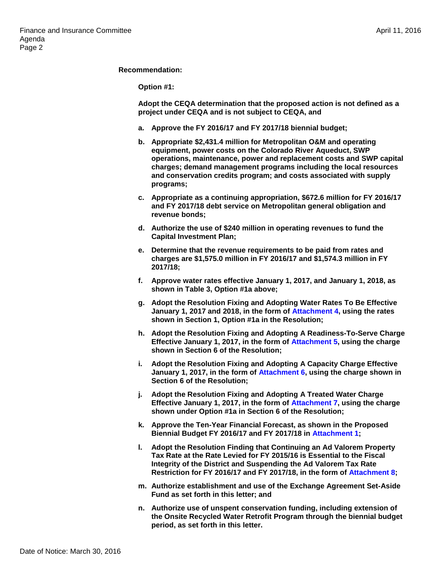#### **Recommendation:**

**Option #1:**

**Adopt the CEQA determination that the proposed action is not defined as a project under CEQA and is not subject to CEQA, and** 

- **a. Approve the FY 2016/17 and FY 2017/18 biennial budget;**
- **b. Appropriate \$2,431.4 million for Metropolitan O&M and operating equipment, power costs on the Colorado River Aqueduct, SWP operations, maintenance, power and replacement costs and SWP capital charges; demand management programs including the local resources and conservation credits program; and costs associated with supply programs;**
- **c. Appropriate as a continuing appropriation, \$672.6 million for FY 2016/17 and FY 2017/18 debt service on Metropolitan general obligation and revenue bonds;**
- **d. Authorize the use of \$240 million in operating revenues to fund the Capital Investment Plan;**
- **e. Determine that the revenue requirements to be paid from rates and charges are \$1,575.0 million in FY 2016/17 and \$1,574.3 million in FY 2017/18;**
- **f. Approve water rates effective January 1, 2017, and January 1, 2018, as shown in Table 3, Option #1a above;**
- **g. Adopt the Resolution Fixing and Adopting Water Rates To Be Effective January 1, 2017 and 2018, in the form of Attachment 4, using the rates shown in Section 1, Option #1a in the Resolution;**
- **h. Adopt the Resolution Fixing and Adopting A Readiness-To-Serve Charge Effective January 1, 2017, in the form of Attachment 5, using the charge shown in Section 6 of the Resolution;**
- **i. Adopt the Resolution Fixing and Adopting A Capacity Charge Effective January 1, 2017, in the form of Attachment 6, using the charge shown in Section 6 of the Resolution;**
- **j. Adopt the Resolution Fixing and Adopting A Treated Water Charge Effective January 1, 2017, in the form of Attachment 7, using the charge shown under Option #1a in Section 6 of the Resolution;**
- **k. Approve the Ten-Year Financial Forecast, as shown in the Proposed Biennial Budget FY 2016/17 and FY 2017/18 in Attachment 1;**
- **l. Adopt the Resolution Finding that Continuing an Ad Valorem Property Tax Rate at the Rate Levied for FY 2015/16 is Essential to the Fiscal Integrity of the District and Suspending the Ad Valorem Tax Rate Restriction for FY 2016/17 and FY 2017/18, in the form of Attachment 8;**
- **m. Authorize establishment and use of the Exchange Agreement Set-Aside Fund as set forth in this letter; and**
- **n. Authorize use of unspent conservation funding, including extension of the Onsite Recycled Water Retrofit Program through the biennial budget period, as set forth in this letter.**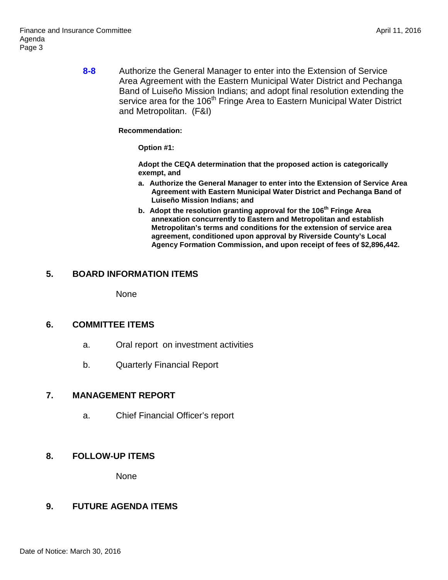**8-8** Authorize the General Manager to enter into the Extension of Service Area Agreement with the Eastern Municipal Water District and Pechanga Band of Luiseño Mission Indians; and adopt final resolution extending the service area for the 106<sup>th</sup> Fringe Area to Eastern Municipal Water District and Metropolitan. (F&I)

**Recommendation:**

**Option #1:**

**Adopt the CEQA determination that the proposed action is categorically exempt, and**

- **a. Authorize the General Manager to enter into the Extension of Service Area Agreement with Eastern Municipal Water District and Pechanga Band of Luiseño Mission Indians; and**
- **b. Adopt the resolution granting approval for the 106th Fringe Area annexation concurrently to Eastern and Metropolitan and establish Metropolitan's terms and conditions for the extension of service area agreement, conditioned upon approval by Riverside County's Local Agency Formation Commission, and upon receipt of fees of \$2,896,442.**

### **5. BOARD INFORMATION ITEMS**

**None** 

### **6. COMMITTEE ITEMS**

- a. Oral report on investment activities
- b. Quarterly Financial Report

#### **7. MANAGEMENT REPORT**

a. Chief Financial Officer's report

# **8. FOLLOW-UP ITEMS**

None

# **9. FUTURE AGENDA ITEMS**